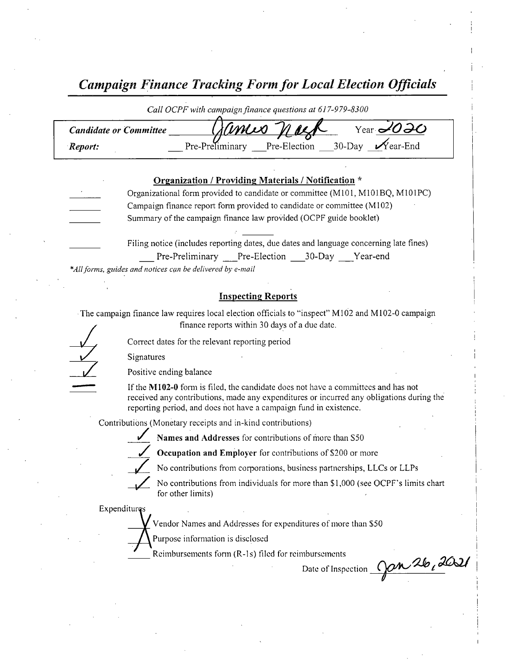Campaign Finance Tracking Form for Local Election Officials

|                                                      | Call OCPF with campaign finance questions at 617-979-8300                     |  |  |  |
|------------------------------------------------------|-------------------------------------------------------------------------------|--|--|--|
| Year $1020$<br>amis<br><b>Candidate or Committee</b> |                                                                               |  |  |  |
| Report:                                              | Pre-Preliminary Pre-Election 30-Day $\sqrt{\ }$ ear-End                       |  |  |  |
|                                                      |                                                                               |  |  |  |
|                                                      | Organization / Providing Materials / Notification *                           |  |  |  |
|                                                      | Organizational form provided to candidate or committee (M101, M101BQ, M101PC) |  |  |  |
|                                                      | Campaign finance report form provided to candidate or committee (M102)        |  |  |  |
|                                                      | Summary of the campaign finance law provided (OCPF guide booklet)             |  |  |  |

Filing notice (includes reporting dates, due dates and language concerning late fines) Pre-Preliminary Pre-Election 30-Day Year-end

\*All forms, guides and notices can be delivered by e-mail

#### Inspecting Reports

The campaign finance law requires local election officials to "inspect" M102 and M102-0 campaigr finance reports within 30 days of <sup>a</sup> due date. The campaign finance law requires local election officials<br>finance reports within 30 days<br>Correct dates for the relevant reporting period<br>Sionatures

Signatures

Positive ending balance

If the M102-0 form is filed, the candidate does not have a committees and has not received any contributions, made any expenditures or incurred any obligations during the reporting period, and does not have a campaign fund in existence.

Contributions ( Monetary receipts and in- kind contributions)

Names and Addresses for contributions of more than S50

V

Occupation and Employer for contributions of \$200 or more

No contributions from corporations, business partnerships, LLCs or LLPs

No contributions from individuals for more than \$1,000 (see OCPF's limits chart for other limits)

Expenditures

Vendor Names and Addresses for expenditures of more than \$50

Purpose information is disclosed

Reimbursements form (R-1s) filed for reimbursements

nbursements<br>Date of Inspection Can 26, 2021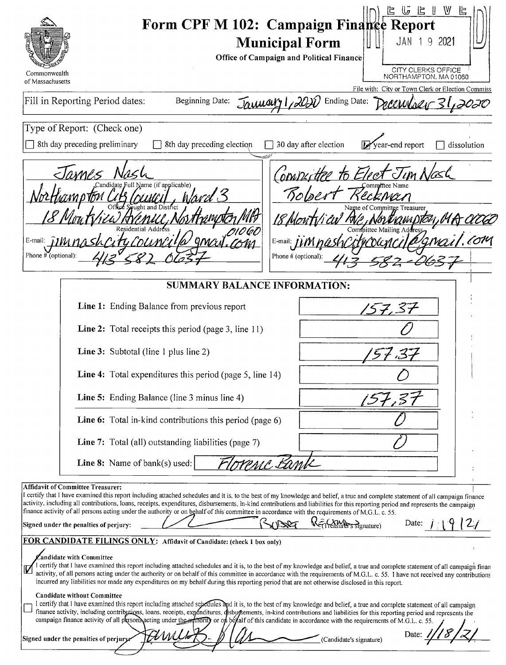| Commonwealth                                             | Form CPF M 102: Campaign Finance Report<br><b>Municipal Form</b><br>Office of Campaign and Political Finance                                                                                                                                                                                                                                                                                                                                                                                                                                                                                                                                                                                                                                                                                                                                                                                                                                                                                                                                                                                             | ⋓<br>匕<br>じ<br>JAN 1<br>92021<br><b>CITY CLERKS OFFICE</b>                |
|----------------------------------------------------------|----------------------------------------------------------------------------------------------------------------------------------------------------------------------------------------------------------------------------------------------------------------------------------------------------------------------------------------------------------------------------------------------------------------------------------------------------------------------------------------------------------------------------------------------------------------------------------------------------------------------------------------------------------------------------------------------------------------------------------------------------------------------------------------------------------------------------------------------------------------------------------------------------------------------------------------------------------------------------------------------------------------------------------------------------------------------------------------------------------|---------------------------------------------------------------------------|
| of Massachusetts                                         |                                                                                                                                                                                                                                                                                                                                                                                                                                                                                                                                                                                                                                                                                                                                                                                                                                                                                                                                                                                                                                                                                                          | NORTHAMPTON, MA01060<br>File with: City or Town Clerk or Election Commiss |
|                                                          | Fill in Reporting Period dates:<br>Beginning Date:<br>January 1,20                                                                                                                                                                                                                                                                                                                                                                                                                                                                                                                                                                                                                                                                                                                                                                                                                                                                                                                                                                                                                                       | Ending Date:                                                              |
|                                                          | Type of Report: (Check one)                                                                                                                                                                                                                                                                                                                                                                                                                                                                                                                                                                                                                                                                                                                                                                                                                                                                                                                                                                                                                                                                              |                                                                           |
|                                                          | 8th day preceding preliminary<br>8th day preceding election                                                                                                                                                                                                                                                                                                                                                                                                                                                                                                                                                                                                                                                                                                                                                                                                                                                                                                                                                                                                                                              | 30 day after election<br>Vear-end report<br>dissolution                   |
| E-mail: $\overline{I}$ <i>IIM</i><br>Phone # (optional): | WMPS<br>Full Name (if applicable)<br>h ard 3<br>E-mail: $\mu$<br>Phone # (optional):                                                                                                                                                                                                                                                                                                                                                                                                                                                                                                                                                                                                                                                                                                                                                                                                                                                                                                                                                                                                                     | Computee to Elect<br>Bolger<br>Committee Treasurer<br>\{8YIU\C} iKA [STZ  |
|                                                          | <b>SUMMARY BALANCE INFORMATION:</b>                                                                                                                                                                                                                                                                                                                                                                                                                                                                                                                                                                                                                                                                                                                                                                                                                                                                                                                                                                                                                                                                      |                                                                           |
|                                                          | Line 1: Ending Balance from previous report                                                                                                                                                                                                                                                                                                                                                                                                                                                                                                                                                                                                                                                                                                                                                                                                                                                                                                                                                                                                                                                              | 7. ST                                                                     |
|                                                          | Line 2: Total receipts this period (page 3, line 11)                                                                                                                                                                                                                                                                                                                                                                                                                                                                                                                                                                                                                                                                                                                                                                                                                                                                                                                                                                                                                                                     |                                                                           |
|                                                          | Line 3: Subtotal (line 1 plus line 2)                                                                                                                                                                                                                                                                                                                                                                                                                                                                                                                                                                                                                                                                                                                                                                                                                                                                                                                                                                                                                                                                    |                                                                           |
|                                                          | Line 4: Total expenditures this period (page 5, line 14)                                                                                                                                                                                                                                                                                                                                                                                                                                                                                                                                                                                                                                                                                                                                                                                                                                                                                                                                                                                                                                                 |                                                                           |
|                                                          | Line 5: Ending Balance (line 3 minus line 4)                                                                                                                                                                                                                                                                                                                                                                                                                                                                                                                                                                                                                                                                                                                                                                                                                                                                                                                                                                                                                                                             |                                                                           |
|                                                          | Line 6: Total in-kind contributions this period (page 6)                                                                                                                                                                                                                                                                                                                                                                                                                                                                                                                                                                                                                                                                                                                                                                                                                                                                                                                                                                                                                                                 |                                                                           |
|                                                          | <b>Line 7:</b> Total (all) outstanding liabilities (page 7)                                                                                                                                                                                                                                                                                                                                                                                                                                                                                                                                                                                                                                                                                                                                                                                                                                                                                                                                                                                                                                              |                                                                           |
|                                                          | Line 8: Name of bank(s) used:<br>renc Bam                                                                                                                                                                                                                                                                                                                                                                                                                                                                                                                                                                                                                                                                                                                                                                                                                                                                                                                                                                                                                                                                |                                                                           |
|                                                          | <b>Affidavit of Committee Treasurer:</b><br>I certify that I have examined this report including attached schedules and it is, to the best of my knowledge and belief, a true and complete statement of all campaign finance<br>activity, including all contributions, loans, receipts, expenditures, disbursements, in-kind contributions and liabilities for this reporting period and represents the campaign<br>finance activity of all persons acting under the authority or on behalf of this committee in accordance with the requirements of M.G.L. c. 55.<br>11.3027<br>Signed under the penalties of perjury:<br>FOR CANDIDATE FILINGS ONLY: Affidavit of Candidate: (check 1 box only)                                                                                                                                                                                                                                                                                                                                                                                                        | K=1 feasurer's signature)<br>Date:                                        |
|                                                          | andidate with Committee<br>I certify that I have examined this report including attached schedules and it is, to the best of my knowledge and belief, a true and complete statement of all campaign finan<br>activity, of all persons acting under the authority or on behalf of this committee in accordance with the requirements of M.G.L. c. 55. I have not received any contributions<br>incurred any liabilities nor made any expenditures on my behalf during this reporting period that are not otherwise disclosed in this report.<br><b>Candidate without Committee</b><br>I certify that I have examined this report including attached schedules and it is, to the best of my knowledge and belief, a true and complete statement of all campaign<br>finance activity, including contributions, loans, receipts, expenditures, disbursements, in-kind contributions and liabilities for this reporting period and represents the<br>campaign finance activity of all person acting under the artificity or on be fall of this candidate in accordance with the requirements of M.G.L. c. 55. |                                                                           |
|                                                          | AMU<br>Signed under the penalties of perjury:                                                                                                                                                                                                                                                                                                                                                                                                                                                                                                                                                                                                                                                                                                                                                                                                                                                                                                                                                                                                                                                            | (Candidate's signature)                                                   |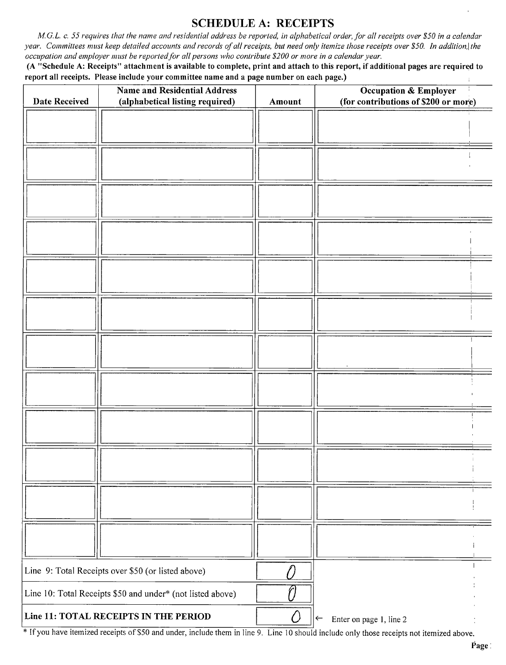### SCHEDULE A: RECEIPTS

M.G.L. c. 55 requires that the name and residential address be reported, in alphabetical order, for all receipts over \$50 in a calendar year. Committees must keep detailed accounts and records of all receipts, but need only itemize those receipts over \$50. In addition, the occupation and employer must be reported for all persons who contribute\$ 200 or more in <sup>a</sup> calendar year.

A " Schedule A: Receipts" attachment is available to complete, print and attach to this report, if additional pages are required to report all receipts. Please include your committee name and <sup>a</sup> page number on each page.)

| <b>Date Received</b> | <b>Name and Residential Address</b><br>(alphabetical listing required) | Amount | <b>Occupation &amp; Employer</b><br>(for contributions of \$200 or more) |
|----------------------|------------------------------------------------------------------------|--------|--------------------------------------------------------------------------|
|                      |                                                                        |        |                                                                          |
|                      |                                                                        |        |                                                                          |
|                      |                                                                        |        |                                                                          |
|                      |                                                                        |        |                                                                          |
|                      |                                                                        |        |                                                                          |
|                      |                                                                        |        |                                                                          |
|                      |                                                                        |        |                                                                          |
|                      |                                                                        |        |                                                                          |
|                      |                                                                        |        |                                                                          |
|                      |                                                                        |        |                                                                          |
|                      |                                                                        |        |                                                                          |
|                      |                                                                        |        |                                                                          |
|                      |                                                                        |        |                                                                          |
|                      |                                                                        |        |                                                                          |
|                      |                                                                        |        |                                                                          |
|                      | Line 9: Total Receipts over \$50 (or listed above)                     |        |                                                                          |
|                      | Line 10: Total Receipts \$50 and under* (not listed above)             |        |                                                                          |
|                      | Line 11: TOTAL RECEIPTS IN THE PERIOD                                  | ر ۰    | Enter on page 1, line 2<br>$\leftarrow$                                  |

<sup>\*</sup> If you have itemized receipts of \$50 and under, include them in line 9. Line 10 should include only those receipts not itemized above.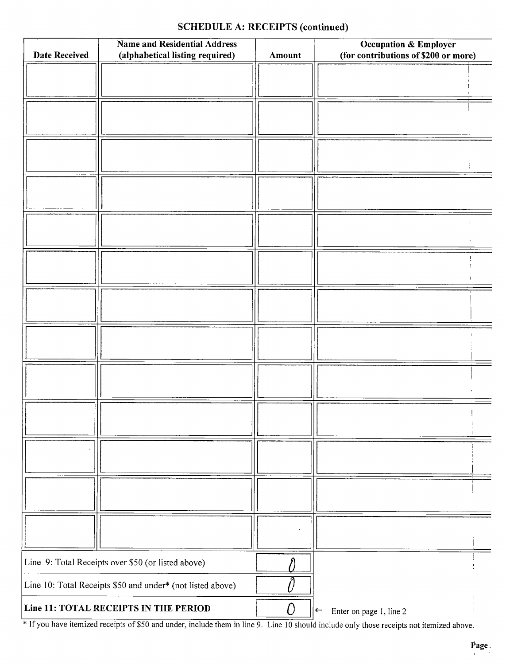# SCHEDULE A: RECEIPTS (continued)

| <b>Date Received</b> | <b>Name and Residential Address</b><br>(alphabetical listing required) | Amount         | <b>Occupation &amp; Employer</b><br>(for contributions of \$200 or more) |
|----------------------|------------------------------------------------------------------------|----------------|--------------------------------------------------------------------------|
|                      |                                                                        |                |                                                                          |
|                      |                                                                        |                |                                                                          |
|                      |                                                                        |                |                                                                          |
|                      |                                                                        |                |                                                                          |
|                      |                                                                        |                |                                                                          |
|                      |                                                                        |                |                                                                          |
|                      |                                                                        |                |                                                                          |
|                      |                                                                        |                |                                                                          |
|                      |                                                                        |                |                                                                          |
|                      |                                                                        |                |                                                                          |
|                      |                                                                        |                |                                                                          |
|                      |                                                                        |                |                                                                          |
|                      |                                                                        |                |                                                                          |
|                      |                                                                        |                |                                                                          |
|                      |                                                                        |                |                                                                          |
|                      |                                                                        |                |                                                                          |
|                      |                                                                        |                |                                                                          |
|                      |                                                                        |                |                                                                          |
|                      |                                                                        |                |                                                                          |
|                      |                                                                        |                |                                                                          |
|                      |                                                                        |                |                                                                          |
|                      |                                                                        |                |                                                                          |
|                      |                                                                        |                |                                                                          |
|                      |                                                                        |                |                                                                          |
|                      |                                                                        |                |                                                                          |
|                      |                                                                        |                |                                                                          |
|                      | Line 9: Total Receipts over \$50 (or listed above)                     |                |                                                                          |
|                      | Line 10: Total Receipts \$50 and under* (not listed above)             |                |                                                                          |
|                      | Line 11: TOTAL RECEIPTS IN THE PERIOD                                  | $\overline{O}$ | Enter on page 1, line 2<br>$\leftarrow$                                  |

<sup>1</sup> If you have itemized receipts of \$50 and under, include them in line 9. Line 10 should include only those receipts not itemized above.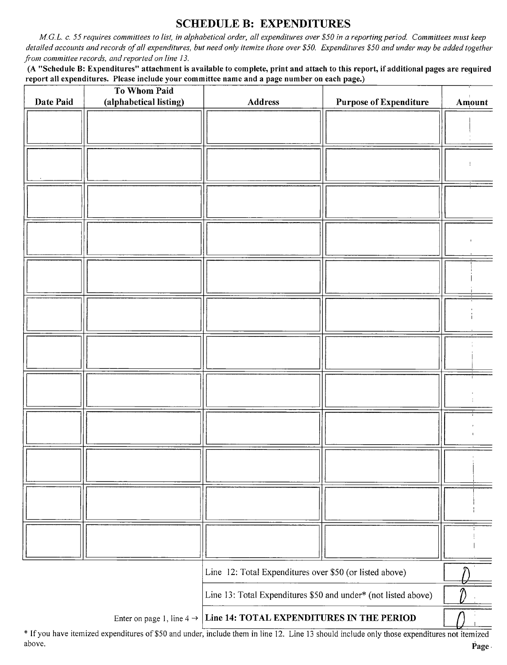## SCHEDULE B: EXPENDITURES

M.G.L. c. 55 requires committees to list, in alphabetical order, all expenditures over\$ 50 in a reporting period. Committees must keep detailed accounts and records of all expenditures, but need only itemize those over \$50. Expenditures \$50 and under may be added together from committee records, and reported on line 13.

A " Schedule B: Expenditures" attachment is available to complete, print and attach to this report, if additional pages are required report all expenditures. Please include your committee name and a page number on each page.)

| Date Paid | To Whom Paid<br>(alphabetical listing) | Address                                                        | <b>Purpose of Expenditure</b> | Amount |
|-----------|----------------------------------------|----------------------------------------------------------------|-------------------------------|--------|
|           |                                        |                                                                |                               |        |
|           |                                        |                                                                |                               |        |
|           |                                        |                                                                |                               |        |
|           |                                        |                                                                |                               |        |
|           |                                        |                                                                |                               |        |
|           |                                        |                                                                |                               |        |
|           |                                        |                                                                |                               |        |
|           |                                        |                                                                |                               |        |
|           |                                        |                                                                |                               |        |
|           |                                        |                                                                |                               |        |
|           |                                        |                                                                |                               |        |
|           |                                        |                                                                |                               |        |
|           |                                        |                                                                |                               |        |
|           |                                        |                                                                |                               |        |
|           |                                        |                                                                |                               |        |
|           |                                        |                                                                |                               |        |
|           |                                        |                                                                |                               |        |
|           |                                        |                                                                |                               |        |
|           |                                        |                                                                |                               |        |
|           |                                        |                                                                |                               |        |
|           |                                        |                                                                |                               |        |
|           |                                        |                                                                |                               |        |
|           |                                        |                                                                |                               |        |
|           |                                        |                                                                |                               |        |
|           |                                        | Line 12: Total Expenditures over \$50 (or listed above)        |                               |        |
|           |                                        | Line 13: Total Expenditures \$50 and under* (not listed above) |                               |        |
|           | Enter on page 1, line 4 $\rightarrow$  | Line 14: TOTAL EXPENDITURES IN THE PERIOD                      |                               |        |

If you have itemized expenditures of \$50 and under, include them in line 12. Line 13 should include only those expenditures not itemize above. Page and the set of the set of the set of the set of the set of the set of the set of the set of the set of the set of the set of the set of the set of the set of the set of the set of the set of the set of the set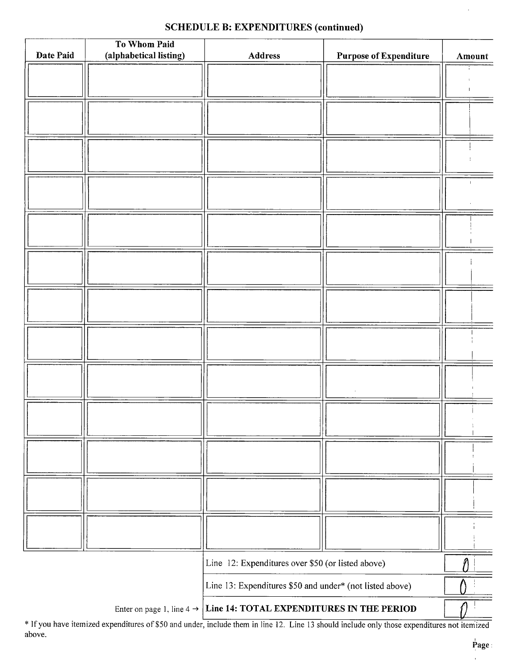# SCHEDULE B: EXPENDITURES (continued)

| Date Paid | To Whom Paid<br>(alphabetical listing) |                                                                                 |                               |                |
|-----------|----------------------------------------|---------------------------------------------------------------------------------|-------------------------------|----------------|
|           |                                        | Address                                                                         | <b>Purpose of Expenditure</b> | Amount         |
|           |                                        |                                                                                 |                               |                |
|           |                                        |                                                                                 |                               |                |
|           |                                        |                                                                                 |                               |                |
|           |                                        |                                                                                 |                               |                |
|           |                                        |                                                                                 |                               |                |
|           |                                        |                                                                                 |                               |                |
|           |                                        |                                                                                 |                               |                |
|           |                                        |                                                                                 |                               | $\blacksquare$ |
|           |                                        |                                                                                 |                               |                |
|           |                                        |                                                                                 |                               |                |
|           |                                        |                                                                                 |                               |                |
|           |                                        |                                                                                 |                               |                |
|           |                                        |                                                                                 |                               |                |
|           |                                        |                                                                                 |                               |                |
|           |                                        |                                                                                 |                               |                |
|           |                                        |                                                                                 |                               |                |
|           |                                        |                                                                                 |                               |                |
|           |                                        |                                                                                 |                               |                |
|           |                                        |                                                                                 |                               |                |
|           |                                        |                                                                                 |                               |                |
|           |                                        |                                                                                 |                               |                |
|           |                                        |                                                                                 |                               |                |
|           |                                        |                                                                                 |                               |                |
|           |                                        |                                                                                 |                               |                |
|           |                                        |                                                                                 |                               |                |
|           |                                        |                                                                                 |                               |                |
|           |                                        |                                                                                 |                               |                |
|           |                                        |                                                                                 |                               |                |
|           |                                        |                                                                                 |                               |                |
|           |                                        |                                                                                 |                               |                |
|           |                                        |                                                                                 |                               |                |
|           |                                        |                                                                                 |                               |                |
|           |                                        |                                                                                 |                               |                |
|           |                                        | Line 12: Expenditures over \$50 (or listed above)                               |                               |                |
|           |                                        | Line 13: Expenditures \$50 and under* (not listed above)                        |                               |                |
|           |                                        | Enter on page 1, line $4 \rightarrow$ Line 14: TOTAL EXPENDITURES IN THE PERIOD |                               |                |

If you have itemized expenditures of \$50 and under, include them in line 12. Line 13 should include only those expenditures not itemized above.

l.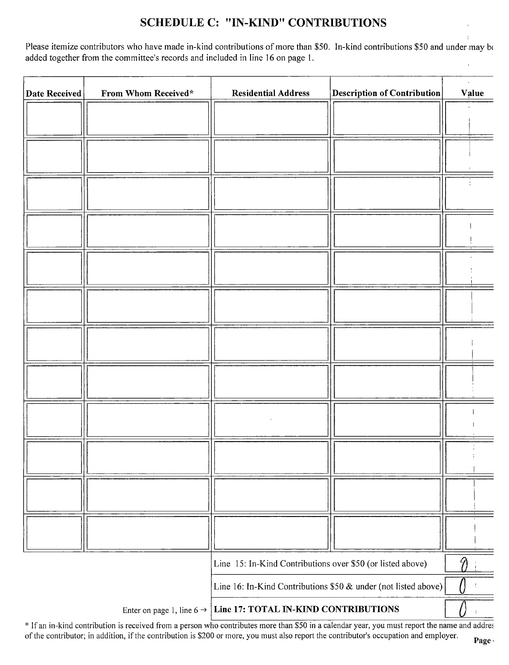# SCHEDULE C: "IN-KIND" CONTRIBUTIONS

Please itemize contributors who have made in-kind contributions of more than \$50. In-kind contributions \$50 and under may be added together from the committee's records and included in line 16 on page 1.

| <b>Date Received</b> | From Whom Received*                   | <b>Residential Address</b>                                     | <b>Description of Contribution</b> | Value |
|----------------------|---------------------------------------|----------------------------------------------------------------|------------------------------------|-------|
|                      |                                       |                                                                |                                    |       |
|                      |                                       |                                                                |                                    |       |
|                      |                                       |                                                                |                                    |       |
|                      |                                       |                                                                |                                    |       |
|                      |                                       |                                                                |                                    |       |
|                      |                                       |                                                                |                                    |       |
|                      |                                       |                                                                |                                    |       |
|                      |                                       |                                                                |                                    |       |
|                      |                                       |                                                                |                                    |       |
|                      |                                       |                                                                |                                    |       |
|                      |                                       |                                                                |                                    |       |
|                      |                                       |                                                                |                                    |       |
|                      |                                       |                                                                |                                    |       |
|                      |                                       |                                                                |                                    |       |
|                      |                                       |                                                                |                                    |       |
|                      |                                       |                                                                |                                    |       |
|                      |                                       |                                                                |                                    |       |
|                      |                                       |                                                                |                                    |       |
|                      |                                       |                                                                |                                    |       |
|                      |                                       |                                                                |                                    |       |
|                      |                                       | Line 15: In-Kind Contributions over \$50 (or listed above)     |                                    |       |
|                      |                                       | Line 16: In-Kind Contributions \$50 & under (not listed above) |                                    |       |
|                      | Enter on page 1, line 6 $\rightarrow$ | Line 17: TOTAL IN-KIND CONTRIBUTIONS                           |                                    |       |

If an in-kind contribution is received from a person who contributes more than \$50 in a calendar year, you must report the name and addre of the contributor; in addition, if the contribution is \$200 or more, you must also report the contributor's occupation and employer.